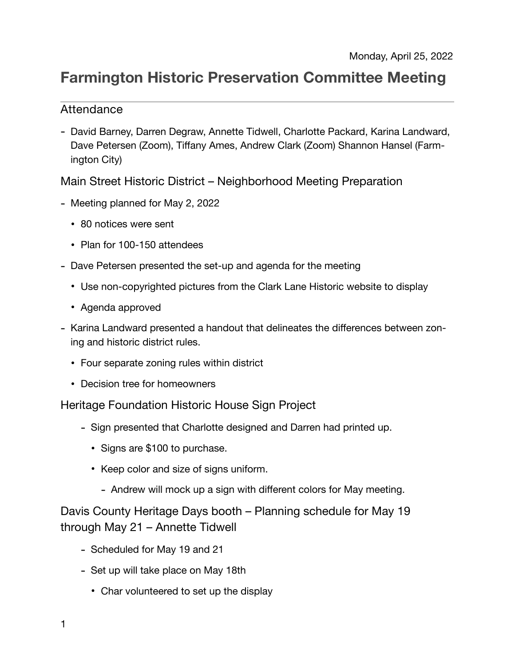# **Farmington Historic Preservation Committee Meeting**

## Attendance

- David Barney, Darren Degraw, Annette Tidwell, Charlotte Packard, Karina Landward, Dave Petersen (Zoom), Tiffany Ames, Andrew Clark (Zoom) Shannon Hansel (Farmington City)

Main Street Historic District – Neighborhood Meeting Preparation

- Meeting planned for May 2, 2022
	- 80 notices were sent
	- Plan for 100-150 attendees
- Dave Petersen presented the set-up and agenda for the meeting
	- Use non-copyrighted pictures from the Clark Lane Historic website to display
	- Agenda approved
- Karina Landward presented a handout that delineates the differences between zoning and historic district rules.
	- Four separate zoning rules within district
	- Decision tree for homeowners

Heritage Foundation Historic House Sign Project

- Sign presented that Charlotte designed and Darren had printed up.
	- Signs are \$100 to purchase.
	- Keep color and size of signs uniform.
		- Andrew will mock up a sign with different colors for May meeting.

Davis County Heritage Days booth – Planning schedule for May 19 through May 21 – Annette Tidwell

- Scheduled for May 19 and 21
- Set up will take place on May 18th
	- Char volunteered to set up the display